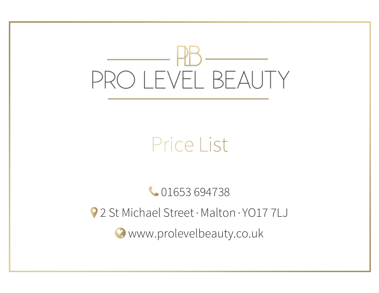

# Price List

01653 694738 2 St Michael Street · Malton · YO17 7LJ www.prolevelbeauty.co.uk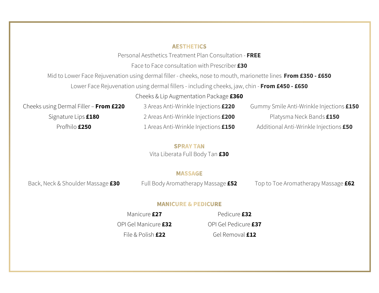# **AESTHETICS**

Personal Aesthetics Treatment Plan Consultation - FREE

Face to Face consultation with Prescriber £30

Mid to Lower Face Rejuvenation using dermal filler - cheeks, nose to mouth, marionette lines From £350 - £650

Lower Face Rejuvenation using dermal fillers - including cheeks, jaw, chin - From £450 - £650

Cheeks & Lip Augmentation Package £360

Cheeks using Dermal Filler – From £220 3 Areas Anti-Wrinkle Injections £220 Gummy Smile Anti-Wrinkle Injections £150 Signature Lips **£180** 2 Areas Anti-Wrinkle Injections **£200** Platysma Neck Bands **£150** 

Profhilo **£250** 1 Areas Anti-Wrinkle Injections **£150** Additional Anti-Wrinkle Injections **£50** 

**SPRAY TAN** Vita Liberata Full Body Tan £30

# **MASSAGE**

Back, Neck & Shoulder Massage £30 Full Body Aromatherapy Massage £52 Top to Toe Aromatherapy Massage £62

### **MANICURE & PEDICURE**

Manicure **£27** Pedicure **£32** OPI Gel Manicure £32 OPI Gel Pedicure £37

File & Polish **£22** Gel Removal **£12**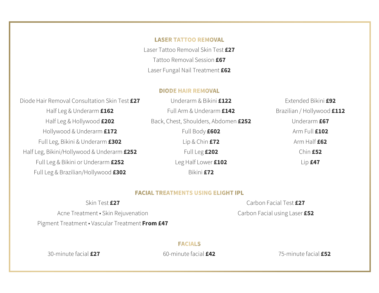### **LASER TATTOO REMOVAL**

Laser Tattoo Removal Skin Test £27 Tattoo Removal Session £67 Laser Fungal Nail Treatment £62

#### **DIODE HAIR REMOVAL**

Diode Hair Removal Consultation Skin Test £27 Underarm & Bikini £122 Fxtended Bikini £92 Half Leg & Underarm £162 Full Arm & Underarm £142 Brazilian / Hollywood £112 Half Leg & Hollywood £202 Back, Chest, Shoulders, Abdomen £252 Underarm £67 Hollywood & Underarm **£172** Full Body **£602 Arm Full £102** Full Leg, Bikini & Underarm  $£302$  Lip & Chin  $£72$  Arm Half  $£62$ Half Leg, Bikini/Hollywood & Underarm £252 Full Leg £202 Chin £52 Full Leg & Bikini or Underarm  $£252$  Leg Half Lower £102 Lip £47 Full Leg & Brazilian/Hollywood £302 Bikini £72

# **FACIAL TREATMENTS USING ELIGHT IPL**

Acne Treatment • Skin Rejuvenation Carbon Facial using Laser £52 Pigment Treatment • Vascular Treatment From £47

Skin Test £27 Carbon Facial Test £27

**FACIALS** 

30-minute facial  $\pmb{\text{f27}}$  60-minute facial  $\pmb{\text{f42}}$  75-minute facial  $\pmb{\text{f52}}$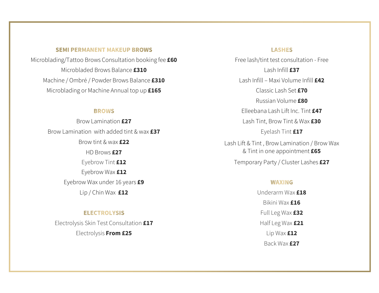# **SEMI PERMANENT MAKEUP BROWS**

Microblading/Tattoo Brows Consultation booking fee **£60** Free lash/tint test consultation - Free Microbladed Brows Balance **£310** Lash Infill **£37** Machine / Ombré / Powder Brows Balance £310 Lash Infill – Maxi Volume Infill <sup>£42</sup> Microblading or Machine Annual top up **£165** Classic Lash Set **£70** 

Brow Lamination with added tint & wax **£37** Eyelash Tint **£17** Eyebrow Wax £12 Eyebrow Wax under 16 years £9 Lip / Chin Wax **£12** Underarm Wax **£18** 

# **ELECTROLYSIS**

Electrolysis Skin Test Consultation **£17** Half Leg Wax **£21** Electrolysis **From £25** Lip Wax **£12** 

# **LASHES**

 Russian Volume £80 Elleebana Lash Lift Inc. Tint £47 Brow Lamination **£27** Lash Tint, Brow Tint & Wax **£30** Brow tint & wax **£22** Lash Lift & Tint, Brow Lamination / Brow Wax HD Brows £27 **by Eq. 27** and the set of the set of the ST intervals and the ST intervals are  $\&$  Tint in one appointment £65 Eyebrow Tint £12 Temporary Party / Cluster Lashes £27

### **WAXING**

 Bikini Wax £16 Full Leg Wax £32 Back Wax £27